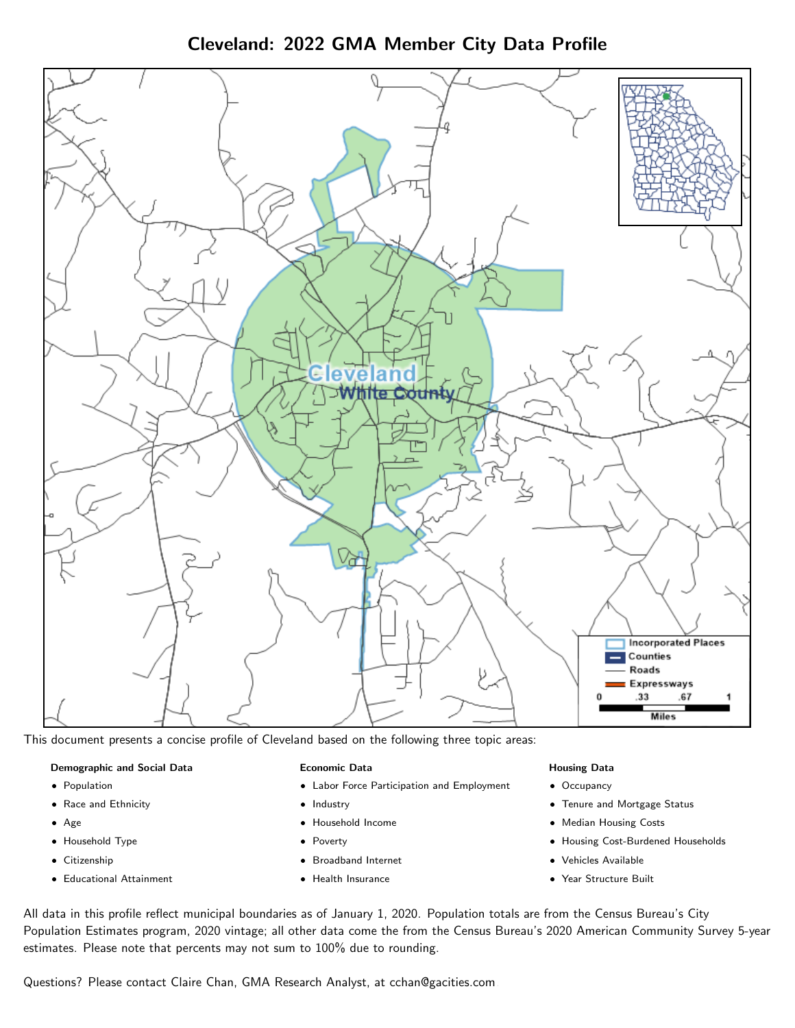Cleveland: 2022 GMA Member City Data Profile



This document presents a concise profile of Cleveland based on the following three topic areas:

#### Demographic and Social Data

- **•** Population
- Race and Ethnicity
- Age
- Household Type
- **Citizenship**
- Educational Attainment

## Economic Data

- Labor Force Participation and Employment
- Industry
- Household Income
- Poverty
- Broadband Internet
- Health Insurance

## Housing Data

- Occupancy
- Tenure and Mortgage Status
- Median Housing Costs
- Housing Cost-Burdened Households
- Vehicles Available
- Year Structure Built

All data in this profile reflect municipal boundaries as of January 1, 2020. Population totals are from the Census Bureau's City Population Estimates program, 2020 vintage; all other data come the from the Census Bureau's 2020 American Community Survey 5-year estimates. Please note that percents may not sum to 100% due to rounding.

Questions? Please contact Claire Chan, GMA Research Analyst, at [cchan@gacities.com.](mailto:cchan@gacities.com)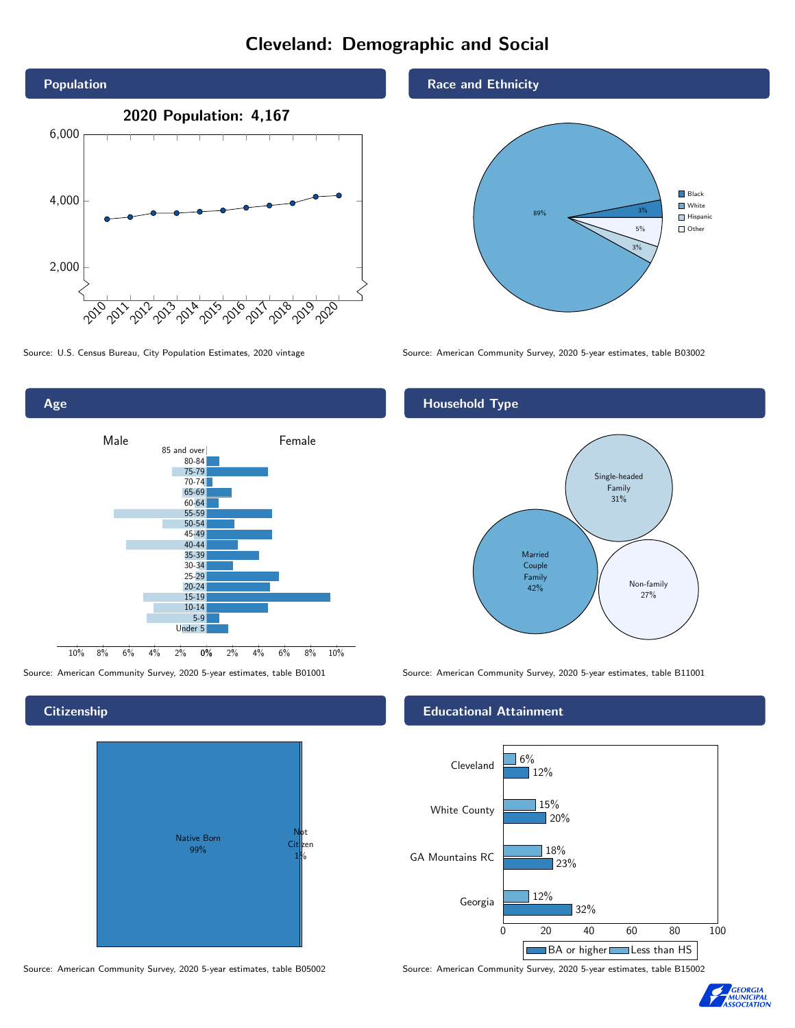# Cleveland: Demographic and Social





Source: American Community Survey, 2020 5-year estimates, table B01001 Source: American Community Survey, 2020 5-year estimates, table B11001

## **Citizenship**



Source: American Community Survey, 2020 5-year estimates, table B05002 Source: American Community Survey, 2020 5-year estimates, table B15002

## Race and Ethnicity



Source: U.S. Census Bureau, City Population Estimates, 2020 vintage Source: American Community Survey, 2020 5-year estimates, table B03002

## Household Type



## Educational Attainment



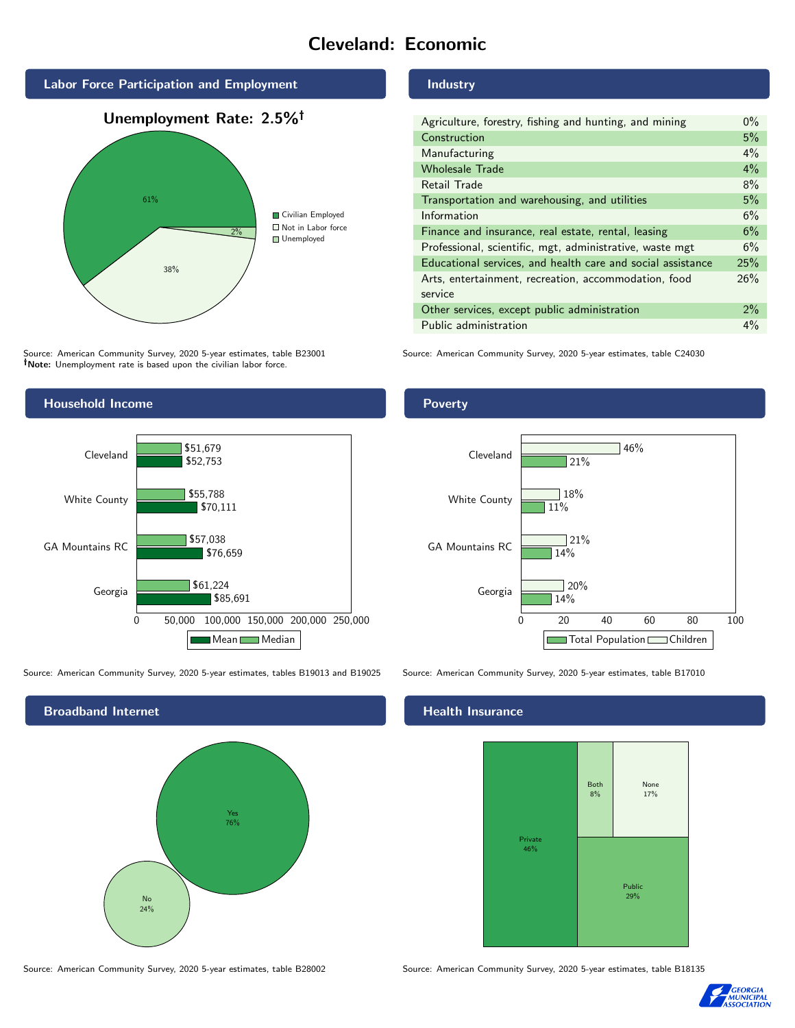# Cleveland: Economic



Source: American Community Survey, 2020 5-year estimates, table B23001 Note: Unemployment rate is based upon the civilian labor force.



Source: American Community Survey, 2020 5-year estimates, tables B19013 and B19025 Source: American Community Survey, 2020 5-year estimates, table B17010



Industry

| Agriculture, forestry, fishing and hunting, and mining      | $0\%$ |
|-------------------------------------------------------------|-------|
| Construction                                                | 5%    |
| Manufacturing                                               | 4%    |
| <b>Wholesale Trade</b>                                      | 4%    |
| Retail Trade                                                | 8%    |
| Transportation and warehousing, and utilities               | 5%    |
| Information                                                 | 6%    |
| Finance and insurance, real estate, rental, leasing         | 6%    |
| Professional, scientific, mgt, administrative, waste mgt    | 6%    |
| Educational services, and health care and social assistance | 25%   |
| Arts, entertainment, recreation, accommodation, food        | 26%   |
| service                                                     |       |
| Other services, except public administration                | $2\%$ |
| Public administration                                       | $4\%$ |

Source: American Community Survey, 2020 5-year estimates, table C24030

Poverty



## Health Insurance



Source: American Community Survey, 2020 5-year estimates, table B28002 Source: American Community Survey, 2020 5-year estimates, table B18135